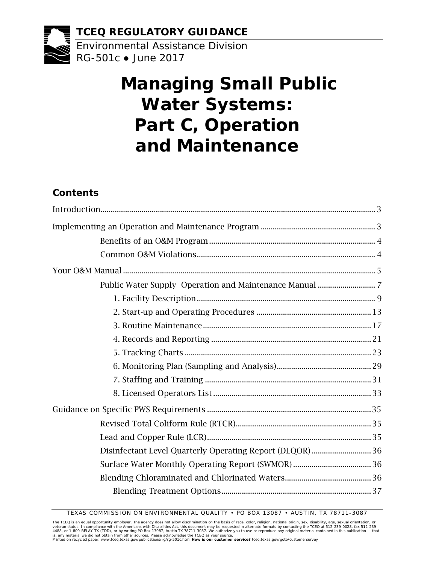

# **Managing Small Public Water Systems: Part C, Operation and Maintenance**

## **Contents**

| Disinfectant Level Quarterly Operating Report (DLQOR)  36 |  |
|-----------------------------------------------------------|--|
|                                                           |  |
|                                                           |  |
|                                                           |  |

TEXAS COMMISSION ON ENVIRONMENTAL QUALITY • PO BOX 13087 • AUSTIN, TX 78711-3087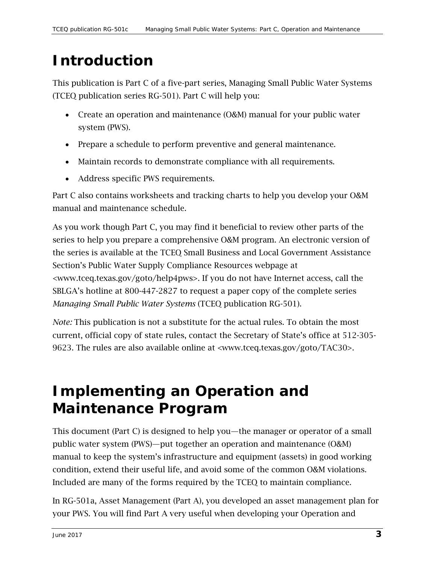# <span id="page-2-0"></span>**Introduction**

This publication is Part C of a five-part series, Managing Small Public Water Systems (TCEQ publication series RG-501). Part C will help you:

- Create an operation and maintenance (O&M) manual for your public water system (PWS).
- Prepare a schedule to perform preventive and general maintenance.
- Maintain records to demonstrate compliance with all requirements.
- Address specific PWS requirements.

Part C also contains worksheets and tracking charts to help you develop your O&M manual and maintenance schedule.

As you work though Part C, you may find it beneficial to review other parts of the series to help you prepare a comprehensive O&M program. An electronic version of the series is available at the TCEQ Small Business and Local Government Assistance Section's Public Water Supply Compliance Resources webpage at [<www.tceq.texas.gov/goto/help4pws>](https://www.tceq.texas.gov/assistance/water/pdws/pws.html/). If you do not have Internet access, call the SBLGA's hotline at 800-447-2827 to request a paper copy of the complete series *Managing Small Public Water Systems* (TCEQ publication RG-501).

*Note:* This publication is not a substitute for the actual rules. To obtain the most current, official copy of state rules, contact the Secretary of State's office at 512-305- 9623. The rules are also available online at [<www.tceq.texas.gov/goto/TAC30>](http://texreg.sos.state.tx.us/public/readtac$ext.ViewTAC?tac_view=2&ti=30).

# <span id="page-2-1"></span>**Implementing an Operation and Maintenance Program**

This document (Part C) is designed to help you—the manager or operator of a small public water system (PWS)—put together an operation and maintenance (O&M) manual to keep the system's infrastructure and equipment (assets) in good working condition, extend their useful life, and avoid some of the common O&M violations. Included are many of the forms required by the TCEQ to maintain compliance.

In RG-501a, Asset Management (Part A), you developed an asset management plan for your PWS. You will find Part A very useful when developing your Operation and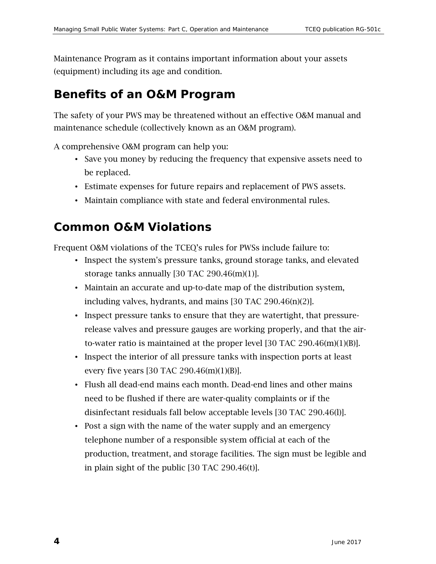Maintenance Program as it contains important information about your assets (equipment) including its age and condition.

## <span id="page-3-0"></span>**Benefits of an O&M Program**

The safety of your PWS may be threatened without an effective O&M manual and maintenance schedule (collectively known as an O&M program).

A comprehensive O&M program can help you:

- Save you money by reducing the frequency that expensive assets need to be replaced.
- Estimate expenses for future repairs and replacement of PWS assets.
- Maintain compliance with state and federal environmental rules.

## <span id="page-3-1"></span>**Common O&M Violations**

Frequent O&M violations of the TCEQ's rules for PWSs include failure to:

- Inspect the system's pressure tanks, ground storage tanks, and elevated storage tanks annually [30 TAC 290.46(m)(1)].
- Maintain an accurate and up-to-date map of the distribution system, including valves, hydrants, and mains [30 TAC 290.46(n)(2)].
- Inspect pressure tanks to ensure that they are watertight, that pressurerelease valves and pressure gauges are working properly, and that the airto-water ratio is maintained at the proper level [30 TAC 290.46(m)(1)(B)].
- Inspect the interior of all pressure tanks with inspection ports at least every five years [30 TAC 290.46(m)(1)(B)].
- Flush all dead-end mains each month. Dead-end lines and other mains need to be flushed if there are water-quality complaints or if the disinfectant residuals fall below acceptable levels [30 TAC 290.46(l)].
- Post a sign with the name of the water supply and an emergency telephone number of a responsible system official at each of the production, treatment, and storage facilities. The sign must be legible and in plain sight of the public [30 TAC 290.46(t)].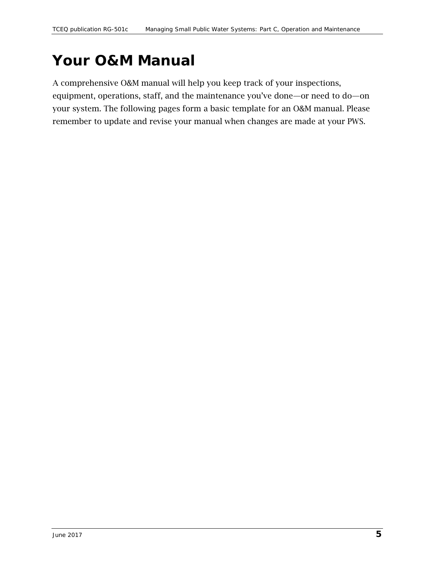# <span id="page-4-0"></span>**Your O&M Manual**

A comprehensive O&M manual will help you keep track of your inspections, equipment, operations, staff, and the maintenance you've done—or need to do—on your system. The following pages form a basic template for an O&M manual. Please remember to update and revise your manual when changes are made at your PWS.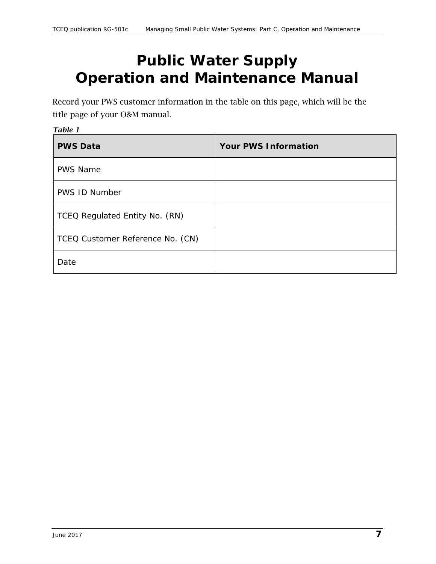# <span id="page-6-0"></span>**Public Water Supply Operation and Maintenance Manual**

Record your PWS customer information in the table on this page, which will be the title page of your O&M manual.

| Table 1                          |                             |  |  |  |  |  |  |
|----------------------------------|-----------------------------|--|--|--|--|--|--|
| <b>PWS Data</b>                  | <b>Your PWS Information</b> |  |  |  |  |  |  |
| <b>PWS Name</b>                  |                             |  |  |  |  |  |  |
| <b>PWS ID Number</b>             |                             |  |  |  |  |  |  |
| TCEQ Regulated Entity No. (RN)   |                             |  |  |  |  |  |  |
| TCEQ Customer Reference No. (CN) |                             |  |  |  |  |  |  |
| Date                             |                             |  |  |  |  |  |  |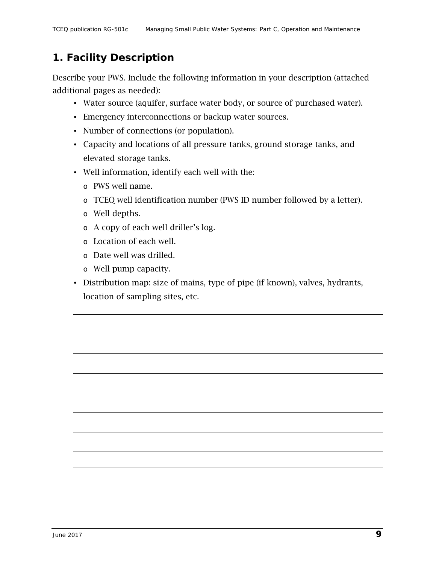## <span id="page-8-0"></span>*1. Facility Description*

Describe your PWS. Include the following information in your description (attached additional pages as needed):

- Water source (aquifer, surface water body, or source of purchased water).
- Emergency interconnections or backup water sources.
- Number of connections (or population).
- Capacity and locations of all pressure tanks, ground storage tanks, and elevated storage tanks.
- Well information, identify each well with the:
	- o PWS well name.
	- o TCEQ well identification number (PWS ID number followed by a letter).
	- o Well depths.
	- o A copy of each well driller's log.
	- o Location of each well.
	- o Date well was drilled.
	- o Well pump capacity.
- Distribution map: size of mains, type of pipe (if known), valves, hydrants, location of sampling sites, etc.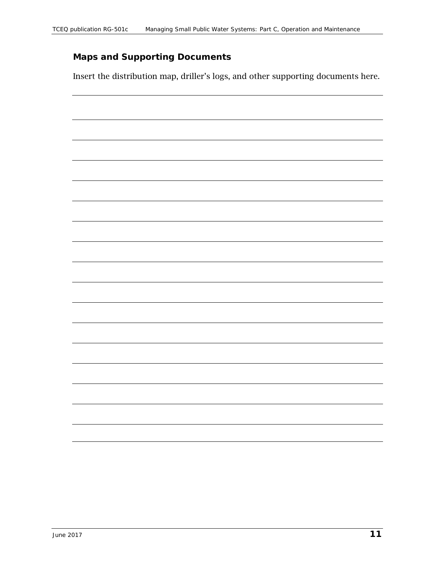### **Maps and Supporting Documents**

Insert the distribution map, driller's logs, and other supporting documents here.

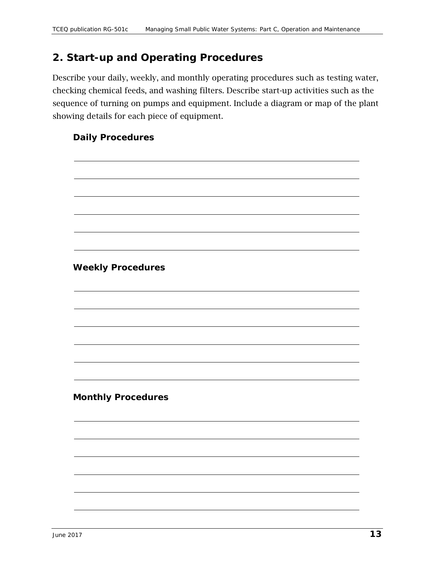### <span id="page-12-0"></span>*2. Start-up and Operating Procedures*

Describe your daily, weekly, and monthly operating procedures such as testing water, checking chemical feeds, and washing filters. Describe start-up activities such as the sequence of turning on pumps and equipment. Include a diagram or map of the plant showing details for each piece of equipment.

#### **Daily Procedures**

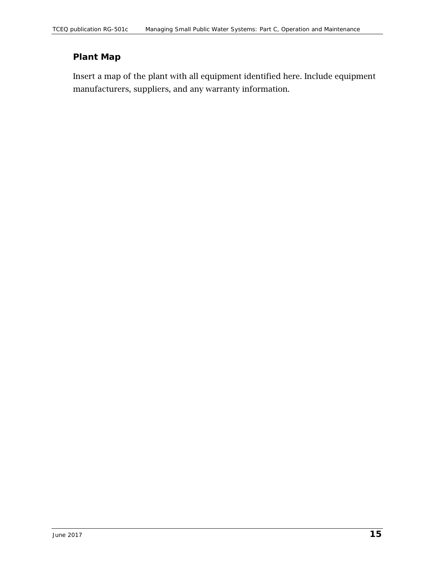### **Plant Map**

Insert a map of the plant with all equipment identified here. Include equipment manufacturers, suppliers, and any warranty information.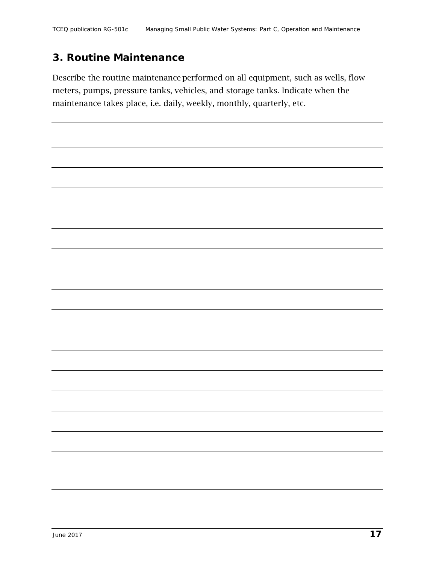### <span id="page-16-0"></span>*3. Routine Maintenance*

Describe the routine maintenance performed on all equipment, such as wells, flow meters, pumps, pressure tanks, vehicles, and storage tanks. Indicate when the maintenance takes place, i.e. daily, weekly, monthly, quarterly, etc.

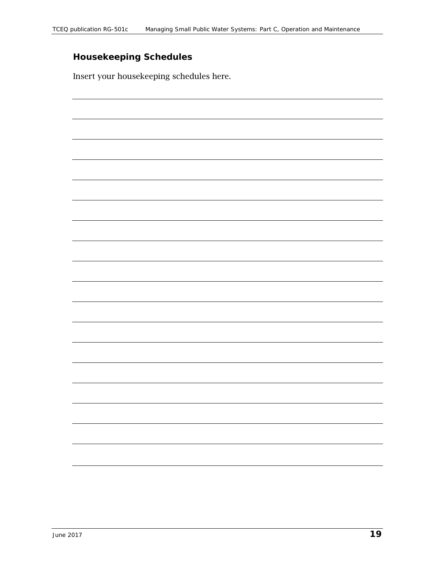## **Housekeeping Schedules**

Insert your housekeeping schedules here.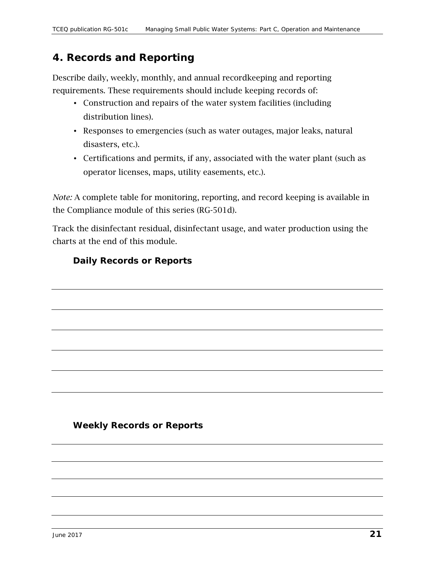### <span id="page-20-0"></span>*4. Records and Reporting*

Describe daily, weekly, monthly, and annual recordkeeping and reporting requirements. These requirements should include keeping records of:

- Construction and repairs of the water system facilities (including distribution lines).
- Responses to emergencies (such as water outages, major leaks, natural disasters, etc.).
- Certifications and permits, if any, associated with the water plant (such as operator licenses, maps, utility easements, etc.).

*Note:* A complete table for monitoring, reporting, and record keeping is available in the Compliance module of this series (RG-501d).

Track the disinfectant residual, disinfectant usage, and water production using the charts at the end of this module.

#### **Daily Records or Reports**

#### **Weekly Records or Reports**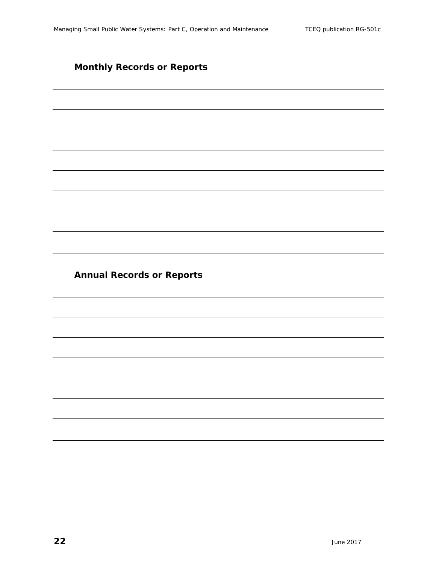#### **Monthly Records or Reports**

**Annual Records or Reports**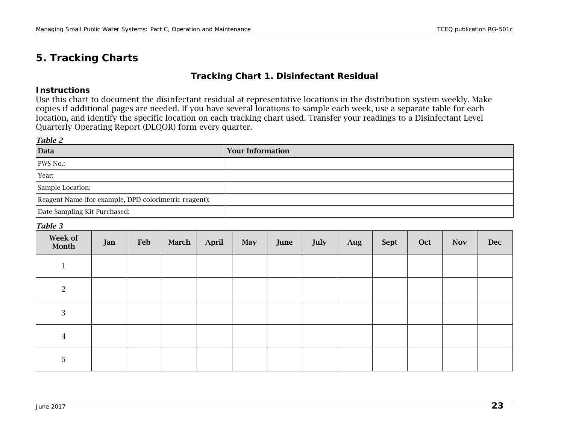### *5. Tracking Charts*

#### **Tracking Chart 1. Disinfectant Residual**

#### **Instructions**

Use this chart to document the disinfectant residual at representative locations in the distribution system weekly. Make copies if additional pages are needed. If you have several locations to sample each week, use a separate table for each location, and identify the specific location on each tracking chart used. Transfer your readings to a Disinfectant Level Quarterly Operating Report (DLQOR) form every quarter.

#### *Table 2*

<span id="page-22-0"></span>

| Data                                                  | <b>Your Information</b> |
|-------------------------------------------------------|-------------------------|
| PWS No.:                                              |                         |
| Year:                                                 |                         |
| Sample Location:                                      |                         |
| Reagent Name (for example, DPD colorimetric reagent): |                         |
| Date Sampling Kit Purchased:                          |                         |

#### *Table 3*

| Week of<br>Month | Jan | Feb | March | April | <b>May</b> | June | July | Aug | Sept | Oct | <b>Nov</b> | <b>Dec</b> |
|------------------|-----|-----|-------|-------|------------|------|------|-----|------|-----|------------|------------|
| $\mathbf{r}$     |     |     |       |       |            |      |      |     |      |     |            |            |
| 2                |     |     |       |       |            |      |      |     |      |     |            |            |
| $\mathbf{3}$     |     |     |       |       |            |      |      |     |      |     |            |            |
| $\overline{4}$   |     |     |       |       |            |      |      |     |      |     |            |            |
| 5                |     |     |       |       |            |      |      |     |      |     |            |            |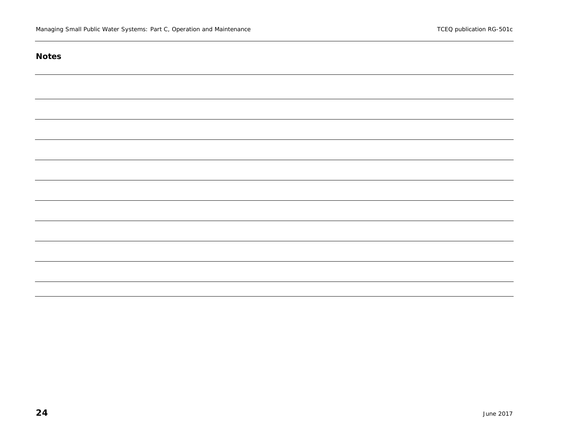#### **Notes**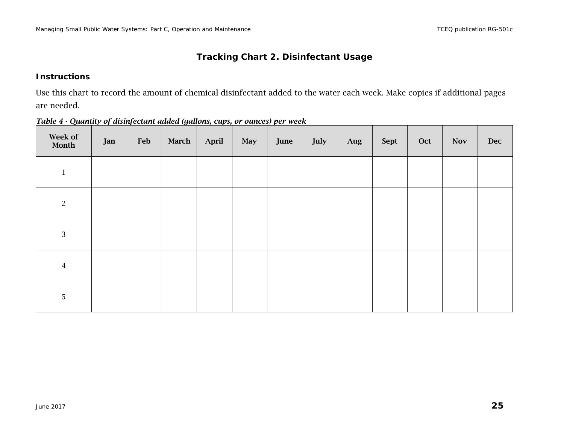#### **Tracking Chart 2. Disinfectant Usage**

#### **Instructions**

Use this chart to record the amount of chemical disinfectant added to the water each week. Make copies if additional pages are needed.

| Week of<br>Month | Jan | Feb | March | April | May | June | July | Aug | Sept | Oct | <b>Nov</b> | <b>Dec</b> |
|------------------|-----|-----|-------|-------|-----|------|------|-----|------|-----|------------|------------|
| $\mathbf 1$      |     |     |       |       |     |      |      |     |      |     |            |            |
| $\sqrt{2}$       |     |     |       |       |     |      |      |     |      |     |            |            |
| $\sqrt{3}$       |     |     |       |       |     |      |      |     |      |     |            |            |
| $\overline{4}$   |     |     |       |       |     |      |      |     |      |     |            |            |
| 5                |     |     |       |       |     |      |      |     |      |     |            |            |

*Table 4 - Quantity of disinfectant added (gallons, cups, or ounces) per week*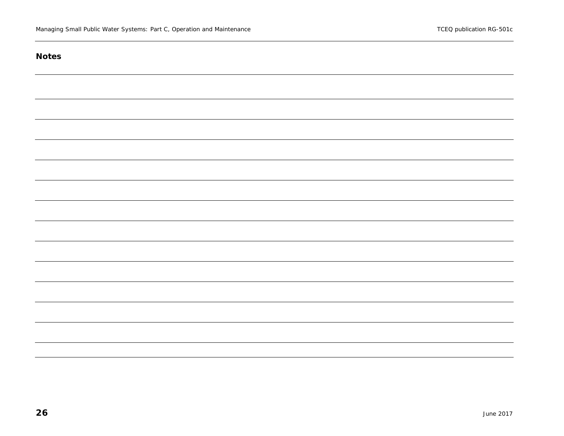#### **Notes**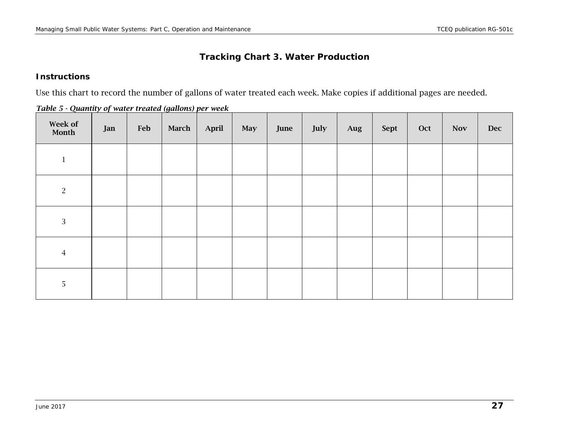#### **Tracking Chart 3. Water Production**

#### **Instructions**

Use this chart to record the number of gallons of water treated each week. Make copies if additional pages are needed.

|  |  | Table 5 - Quantity of water treated (gallons) per week |  |  |
|--|--|--------------------------------------------------------|--|--|
|--|--|--------------------------------------------------------|--|--|

| Week of<br>Month | Jan | Feb | <b>March</b> | April | May | June | July | Aug | Sept | Oct | <b>Nov</b> | <b>Dec</b> |
|------------------|-----|-----|--------------|-------|-----|------|------|-----|------|-----|------------|------------|
| $\,1$            |     |     |              |       |     |      |      |     |      |     |            |            |
| $\overline{2}$   |     |     |              |       |     |      |      |     |      |     |            |            |
| $\mathbf{3}$     |     |     |              |       |     |      |      |     |      |     |            |            |
| $\sqrt{4}$       |     |     |              |       |     |      |      |     |      |     |            |            |
| 5                |     |     |              |       |     |      |      |     |      |     |            |            |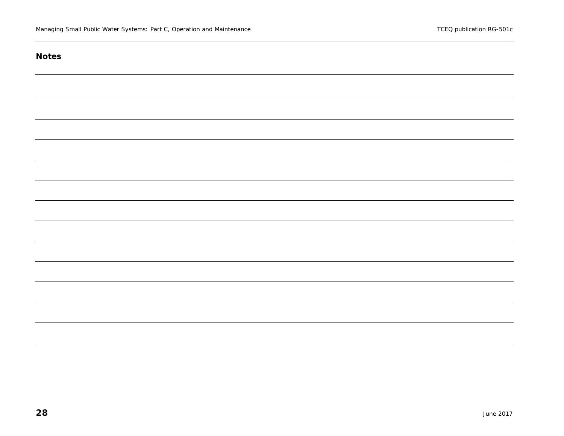#### **Notes**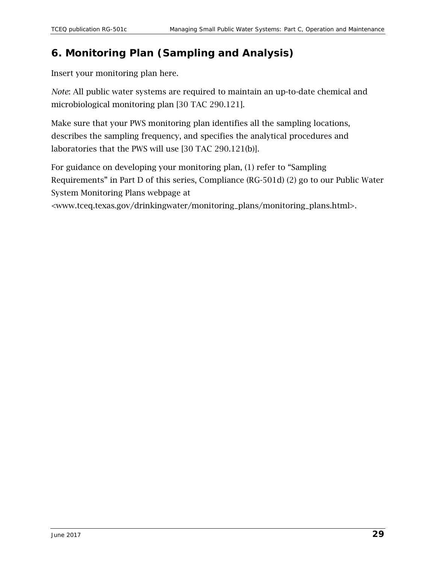## <span id="page-28-0"></span>*6. Monitoring Plan (Sampling and Analysis)*

Insert your monitoring plan here.

*Note*: All public water systems are required to maintain an up-to-date chemical and microbiological monitoring plan [30 TAC 290.121].

Make sure that your PWS monitoring plan identifies all the sampling locations, describes the sampling frequency, and specifies the analytical procedures and laboratories that the PWS will use [30 TAC 290.121(b)].

For guidance on developing your monitoring plan, (1) refer to "Sampling Requirements" in Part D of this series, Compliance (RG-501d) (2) go to our Public Water System Monitoring Plans webpage at

<www.tceq.texas.gov/drinkingwater/monitoring\_plans/monitoring\_plans.html>.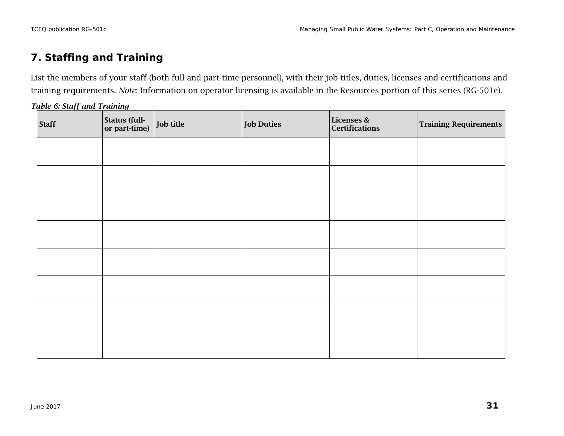## *7. Staffing and Training*

List the members of your staff (both full and part-time personnel), with their job titles, duties, licenses and certifications and training requirements. *Note*: Information on operator licensing is available in the Resources portion of this series (RG-501e).

| Table 6: Staff and Training |
|-----------------------------|
|-----------------------------|

<span id="page-30-0"></span>

| <b>Staff</b> | Status (full-<br>or part-time) | Job title | <b>Job Duties</b> | Licenses &<br><b>Certifications</b> | Training Requirements |
|--------------|--------------------------------|-----------|-------------------|-------------------------------------|-----------------------|
|              |                                |           |                   |                                     |                       |
|              |                                |           |                   |                                     |                       |
|              |                                |           |                   |                                     |                       |
|              |                                |           |                   |                                     |                       |
|              |                                |           |                   |                                     |                       |
|              |                                |           |                   |                                     |                       |
|              |                                |           |                   |                                     |                       |
|              |                                |           |                   |                                     |                       |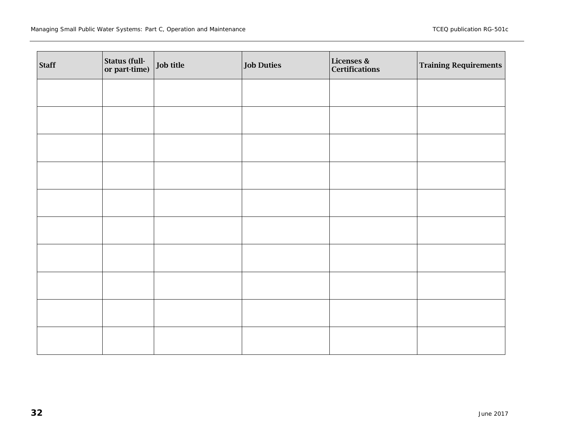| <b>Staff</b> | Status (full-<br>or part-time) | Job title | <b>Job Duties</b> | Licenses &<br>Certifications | <b>Training Requirements</b> |
|--------------|--------------------------------|-----------|-------------------|------------------------------|------------------------------|
|              |                                |           |                   |                              |                              |
|              |                                |           |                   |                              |                              |
|              |                                |           |                   |                              |                              |
|              |                                |           |                   |                              |                              |
|              |                                |           |                   |                              |                              |
|              |                                |           |                   |                              |                              |
|              |                                |           |                   |                              |                              |
|              |                                |           |                   |                              |                              |
|              |                                |           |                   |                              |                              |
|              |                                |           |                   |                              |                              |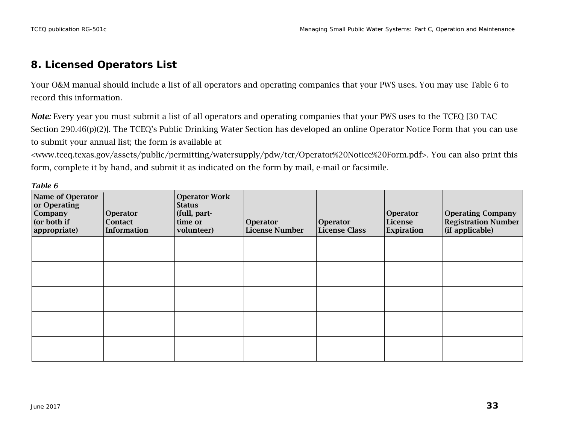### *8. Licensed Operators List*

Your O&M manual should include a list of all operators and operating companies that your PWS uses. You may use Table 6 to record this information.

*Note:* Every year you must submit a list of all operators and operating companies that your PWS uses to the TCEQ [30 TAC Section 290.46(p)(2)]. The TCEQ's Public Drinking Water Section has developed an online Operator Notice Form that you can use to submit your annual list; the form is available at

[<www.tceq.texas.gov/assets/public/permitting/watersupply/pdw/tcr/Operator%20Notice%20Form.pdf>](https://www.tceq.texas.gov/assets/public/permitting/watersupply/pdw/tcr/Operator%20Notice%20Form.pdf). You can also print this form, complete it by hand, and submit it as indicated on the form by mail, e-mail or facsimile.

| - - - - - -<br>Name of Operator<br>or Operating<br><b>Company</b><br>(or both if<br>appropriate) | <b>Operator</b><br><b>Contact</b><br>Information | <b>Operator Work</b><br><b>Status</b><br>(full, part-<br>time or<br>volunteer) | Operator<br><b>License Number</b> | Operator<br><b>License Class</b> | Operator<br>License<br>Expiration | <b>Operating Company</b><br><b>Registration Number</b><br>$\vert$ (if applicable) |
|--------------------------------------------------------------------------------------------------|--------------------------------------------------|--------------------------------------------------------------------------------|-----------------------------------|----------------------------------|-----------------------------------|-----------------------------------------------------------------------------------|
|                                                                                                  |                                                  |                                                                                |                                   |                                  |                                   |                                                                                   |
|                                                                                                  |                                                  |                                                                                |                                   |                                  |                                   |                                                                                   |
|                                                                                                  |                                                  |                                                                                |                                   |                                  |                                   |                                                                                   |
|                                                                                                  |                                                  |                                                                                |                                   |                                  |                                   |                                                                                   |
|                                                                                                  |                                                  |                                                                                |                                   |                                  |                                   |                                                                                   |

<span id="page-32-0"></span>*Table 6*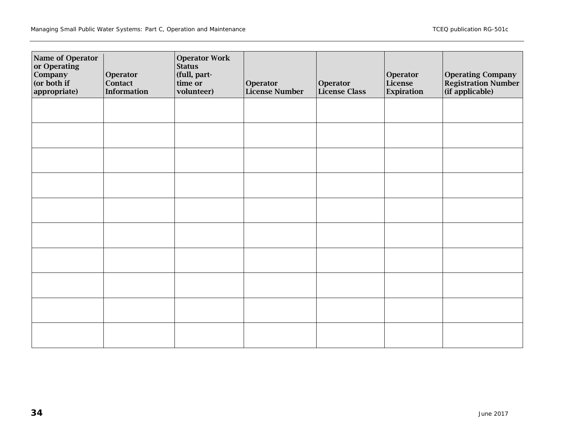| Name of Operator<br>or Operating<br>Company<br>(or both if<br>appropriate) | Operator<br>Contact<br><b>Information</b> | <b>Operator Work</b><br><b>Status</b><br>(full, part-<br>time or<br>volunteer) | Operator<br><b>License Number</b> | Operator<br><b>License Class</b> | Operator<br>License<br>Expiration | <b>Operating Company</b><br><b>Registration Number</b><br>(if applicable) |
|----------------------------------------------------------------------------|-------------------------------------------|--------------------------------------------------------------------------------|-----------------------------------|----------------------------------|-----------------------------------|---------------------------------------------------------------------------|
|                                                                            |                                           |                                                                                |                                   |                                  |                                   |                                                                           |
|                                                                            |                                           |                                                                                |                                   |                                  |                                   |                                                                           |
|                                                                            |                                           |                                                                                |                                   |                                  |                                   |                                                                           |
|                                                                            |                                           |                                                                                |                                   |                                  |                                   |                                                                           |
|                                                                            |                                           |                                                                                |                                   |                                  |                                   |                                                                           |
|                                                                            |                                           |                                                                                |                                   |                                  |                                   |                                                                           |
|                                                                            |                                           |                                                                                |                                   |                                  |                                   |                                                                           |
|                                                                            |                                           |                                                                                |                                   |                                  |                                   |                                                                           |
|                                                                            |                                           |                                                                                |                                   |                                  |                                   |                                                                           |
|                                                                            |                                           |                                                                                |                                   |                                  |                                   |                                                                           |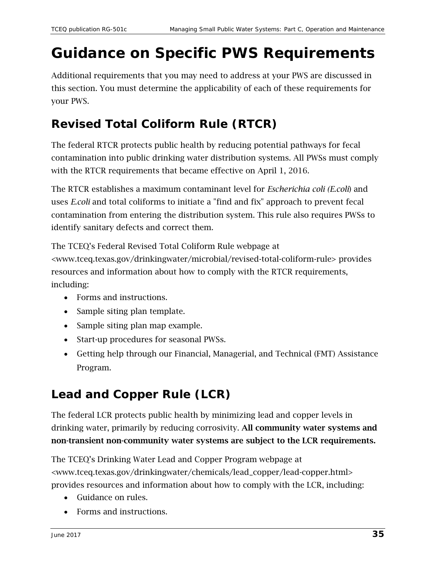# <span id="page-34-0"></span>**Guidance on Specific PWS Requirements**

Additional requirements that you may need to address at your PWS are discussed in this section. You must determine the applicability of each of these requirements for your PWS.

## <span id="page-34-1"></span>**Revised Total Coliform Rule (RTCR)**

The federal RTCR protects public health by reducing potential pathways for fecal contamination into public drinking water distribution systems. All PWSs must comply with the RTCR requirements that became effective on April 1, 2016.

The RTCR establishes a maximum contaminant level for *Escherichia coli (E.coli*) and uses *E.coli* and total coliforms to initiate a "find and fix" approach to prevent fecal contamination from entering the distribution system. This rule also requires PWSs to identify sanitary defects and correct them.

The TCEQ's Federal Revised Total Coliform Rule webpage at [<www.tceq.texas.gov/drinkingwater/microbial/revised-total-coliform-rule>](http://www.tceq.texas.gov/drinkingwater/microbial/revised-total-coliform-rule) provides resources and information about how to comply with the RTCR requirements, including:

- Forms and instructions.
- Sample siting plan template.
- Sample siting plan map example.
- Start-up procedures for seasonal PWSs.
- Getting help through our Financial, Managerial, and Technical (FMT) Assistance Program.

## <span id="page-34-2"></span>**Lead and Copper Rule (LCR)**

The federal LCR protects public health by minimizing lead and copper levels in drinking water, primarily by reducing corrosivity. All community water systems and non-transient non-community water systems are subject to the LCR requirements.

The TCEQ's Drinking Water Lead and Copper Program webpage at [<www.tceq.texas.gov/drinkingwater/chemicals/lead\\_copper/lead-copper.html>](https://www.tceq.texas.gov/drinkingwater/chemicals/lead_copper/lead-copper.html) provides resources and information about how to comply with the LCR, including:

- Guidance on rules.
- Forms and instructions.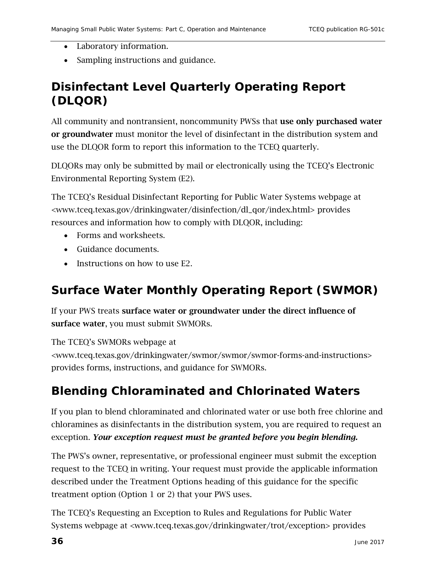- Laboratory information.
- Sampling instructions and guidance.

## <span id="page-35-0"></span>**Disinfectant Level Quarterly Operating Report (DLQOR)**

All community and nontransient, noncommunity PWSs that use only purchased water or groundwater must monitor the level of disinfectant in the distribution system and use the DLQOR form to report this information to the TCEQ quarterly.

DLQORs may only be submitted by mail or electronically using the TCEQ's Electronic Environmental Reporting System (E2).

The TCEQ's Residual Disinfectant Reporting for Public Water Systems webpage at [<www.tceq.texas.gov/drinkingwater/disinfection/dl\\_qor/index.html>](https://www.tceq.texas.gov/drinkingwater/disinfection/dl_qor/index.html) provides resources and information how to comply with DLQOR, including:

- Forms and worksheets.
- Guidance documents.
- Instructions on how to use E2.

## <span id="page-35-1"></span>**Surface Water Monthly Operating Report (SWMOR)**

If your PWS treats surface water or groundwater under the direct influence of surface water, you must submit SWMORs.

The TCEQ's SWMORs webpage at

[<www.tceq.texas.gov/drinkingwater/swmor/swmor/swmor-forms-and-instructions>](http://www.tceq.texas.gov/drinkingwater/swmor/swmor/swmor-forms-and-instructions) provides forms, instructions, and guidance for SWMORs.

## <span id="page-35-2"></span>**Blending Chloraminated and Chlorinated Waters**

If you plan to blend chloraminated and chlorinated water or use both free chlorine and chloramines as disinfectants in the distribution system, you are required to request an exception. *Your exception request must be granted before you begin blending.* 

The PWS's owner, representative, or professional engineer must submit the exception request to the TCEQ in writing. Your request must provide the applicable information described under the Treatment Options heading of this guidance for the specific treatment option (Option 1 or 2) that your PWS uses.

The TCEQ's Requesting an Exception to Rules and Regulations for Public Water Systems webpage at [<www.tceq.texas.gov/drinkingwater/trot/exception>](https://www.tceq.texas.gov/drinkingwater/trot/exception) provides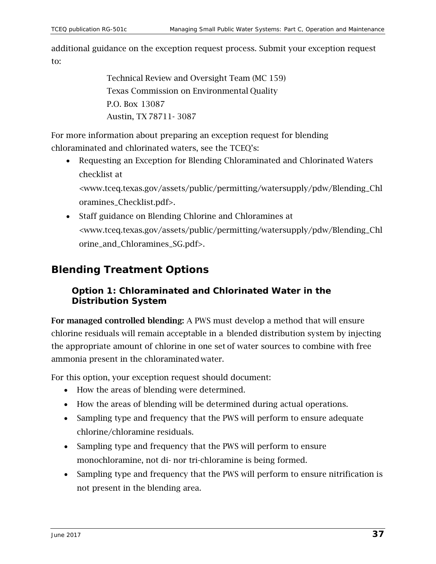additional guidance on the exception request process. Submit your exception request to:

> Technical Review and Oversight Team (MC 159) Texas Commission on Environmental Quality P.O. Box 13087 Austin, TX 78711- 3087

For more information about preparing an exception request for blending chloraminated and chlorinated waters, see the TCEQ's:

• Requesting an Exception for Blending Chloraminated and Chlorinated Waters checklist at

[<www.tceq.texas.gov/assets/public/permitting/watersupply/pdw/Blending\\_Chl](https://www.tceq.texas.gov/assets/public/permitting/watersupply/pdw/Blending_Chloramines_Checklist.pdf) [oramines\\_Checklist.pdf>](https://www.tceq.texas.gov/assets/public/permitting/watersupply/pdw/Blending_Chloramines_Checklist.pdf).

• Staff guidance on Blending Chlorine and Chloramines at [<www.tceq.texas.gov/assets/public/permitting/watersupply/pdw/Blending\\_Chl](https://www.tceq.texas.gov/assets/public/permitting/watersupply/pdw/Blending_Chlorine_and_Chloramines_SG.pdf) [orine\\_and\\_Chloramines\\_SG.pdf>](https://www.tceq.texas.gov/assets/public/permitting/watersupply/pdw/Blending_Chlorine_and_Chloramines_SG.pdf).

## <span id="page-36-0"></span>*Blending Treatment Options*

#### **Option 1: Chloraminated and Chlorinated Water in the Distribution System**

For managed controlled blending: A PWS must develop a method that will ensure chlorine residuals will remain acceptable in a blended distribution system by injecting the appropriate amount of chlorine in one set of water sources to combine with free ammonia present in the chloraminated water.

For this option, your exception request should document:

- How the areas of blending were determined.
- How the areas of blending will be determined during actual operations.
- Sampling type and frequency that the PWS will perform to ensure adequate chlorine/chloramine residuals.
- Sampling type and frequency that the PWS will perform to ensure monochloramine, not di- nor tri-chloramine is being formed.
- Sampling type and frequency that the PWS will perform to ensure nitrification is not present in the blending area.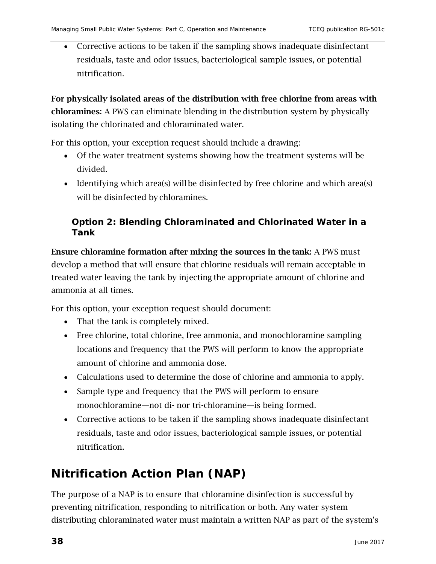• Corrective actions to be taken if the sampling shows inadequate disinfectant residuals, taste and odor issues, bacteriological sample issues, or potential nitrification.

For physically isolated areas of the distribution with free chlorine from areas with chloramines: A PWS can eliminate blending in the distribution system by physically isolating the chlorinated and chloraminated water.

For this option, your exception request should include a drawing:

- Of the water treatment systems showing how the treatment systems will be divided.
- Identifying which area(s) will be disinfected by free chlorine and which area(s) will be disinfected by chloramines.

#### **Option 2: Blending Chloraminated and Chlorinated Water in a Tank**

Ensure chloramine formation after mixing the sources in the tank: A PWS must develop a method that will ensure that chlorine residuals will remain acceptable in treated water leaving the tank by injecting the appropriate amount of chlorine and ammonia at all times.

For this option, your exception request should document:

- That the tank is completely mixed.
- Free chlorine, total chlorine, free ammonia, and monochloramine sampling locations and frequency that the PWS will perform to know the appropriate amount of chlorine and ammonia dose.
- Calculations used to determine the dose of chlorine and ammonia to apply.
- Sample type and frequency that the PWS will perform to ensure monochloramine—not di- nor tri-chloramine—is being formed.
- Corrective actions to be taken if the sampling shows inadequate disinfectant residuals, taste and odor issues, bacteriological sample issues, or potential nitrification.

## <span id="page-37-0"></span>**Nitrification Action Plan (NAP)**

The purpose of a NAP is to ensure that chloramine disinfection is successful by preventing nitrification, responding to nitrification or both. Any water system distributing chloraminated water must maintain a written NAP as part of the system's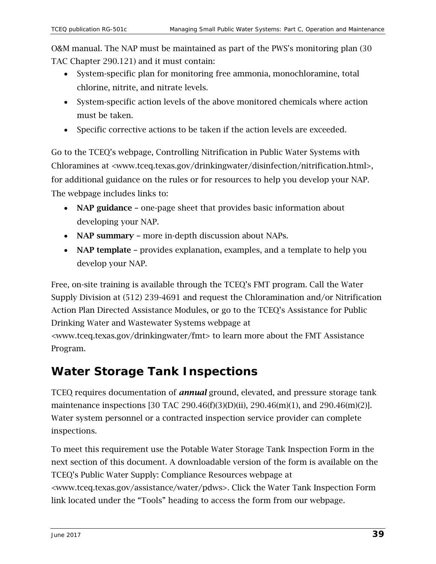O&M manual. The NAP must be maintained as part of the PWS's monitoring plan (30 TAC Chapter 290.121) and it must contain:

- System-specific plan for monitoring free ammonia, monochloramine, total chlorine, nitrite, and nitrate levels.
- System-specific action levels of the above monitored chemicals where action must be taken.
- Specific corrective actions to be taken if the action levels are exceeded.

Go to the TCEQ's webpage, Controlling Nitrification in Public Water Systems with Chloramines at [<www.tceq.texas.gov/drinkingwater/disinfection/nitrification.html>](https://www.tceq.texas.gov/drinkingwater/disinfection/nitrification.html), for additional guidance on the rules or for resources to help you develop your NAP. The webpage includes links to:

- NAP guidance one-page sheet that provides basic information about developing your NAP.
- NAP summary more in-depth discussion about NAPs.
- NAP template provides explanation, examples, and a template to help you develop your NAP.

Free, on-site training is available through the TCEQ's FMT program. Call the Water Supply Division at (512) 239-4691 and request the Chloramination and/or Nitrification Action Plan Directed Assistance Modules, or go to the TCEQ's Assistance for Public Drinking Water and Wastewater Systems webpage at

[<www.tceq.texas.gov/drinkingwater/fmt>](https://www.tceq.texas.gov/drinkingwater/fmt) to learn more about the FMT Assistance Program.

## <span id="page-38-0"></span>**Water Storage Tank Inspections**

TCEQ requires documentation of *annual* ground, elevated, and pressure storage tank maintenance inspections [30 TAC 290.46(f)(3)(D)(ii), 290.46(m)(1), and 290.46(m)(2)]. Water system personnel or a contracted inspection service provider can complete inspections.

To meet this requirement use the Potable Water Storage Tank Inspection Form in the next section of this document. A downloadable version of the form is available on the TCEQ's Public Water Supply: Compliance Resources webpage at [<www.tceq.texas.gov/assistance/water/pdws>](http://www.tceq.texas.gov/assistance/water/pdws). Click the Water Tank Inspection Form link located under the "Tools" heading to access the form from our webpage.